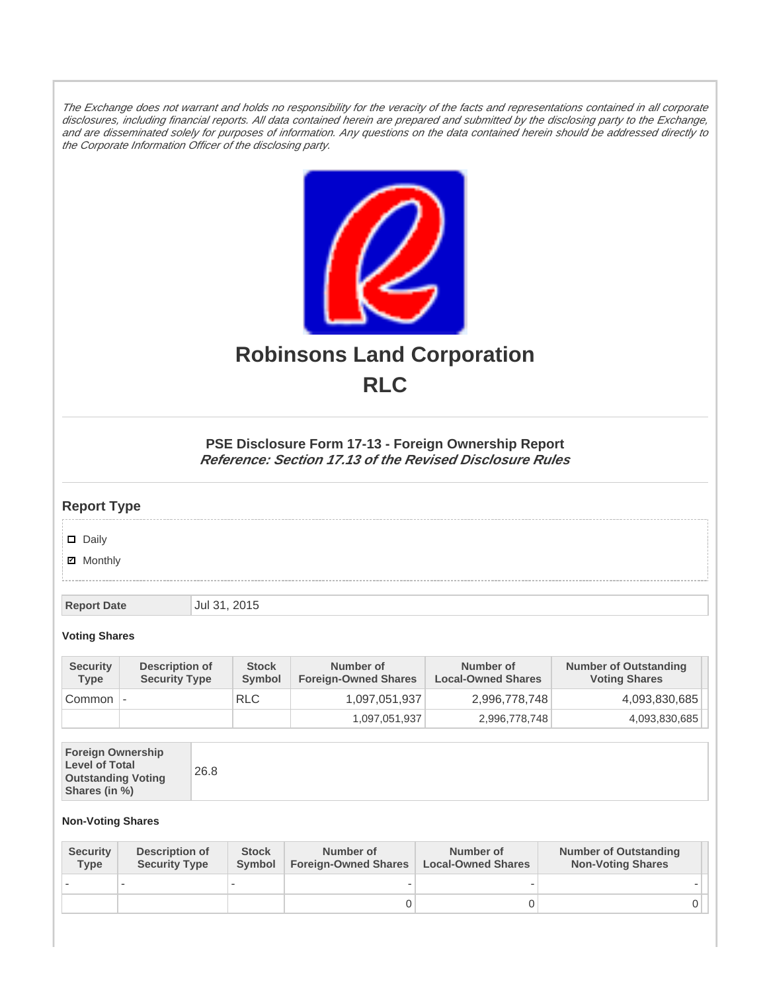The Exchange does not warrant and holds no responsibility for the veracity of the facts and representations contained in all corporate disclosures, including financial reports. All data contained herein are prepared and submitted by the disclosing party to the Exchange, and are disseminated solely for purposes of information. Any questions on the data contained herein should be addressed directly to the Corporate Information Officer of the disclosing party.



# **Robinsons Land Corporation RLC**

## **PSE Disclosure Form 17-13 - Foreign Ownership Report Reference: Section 17.13 of the Revised Disclosure Rules**

## **Report Type**

Daily

**Ø** Monthly

**Report Date Jul 31, 2015** 

#### **Voting Shares**

| <b>Security</b><br><b>Type</b> | Description of<br><b>Security Type</b> | <b>Stock</b><br>Symbol | Number of<br><b>Foreign-Owned Shares</b> | Number of<br><b>Local-Owned Shares</b> | <b>Number of Outstanding</b><br><b>Voting Shares</b> |
|--------------------------------|----------------------------------------|------------------------|------------------------------------------|----------------------------------------|------------------------------------------------------|
| Common                         |                                        | <b>RLC</b>             | 1,097,051,937                            | 2,996,778,748                          | 4,093,830,685                                        |
|                                |                                        |                        | 1,097,051,937                            | 2,996,778,748                          | 4,093,830,685                                        |

| <b>Foreign Ownership</b><br><b>Level of Total</b><br><b>Outstanding Voting</b><br>Shares (in %) |
|-------------------------------------------------------------------------------------------------|
|-------------------------------------------------------------------------------------------------|

### **Non-Voting Shares**

| <b>Security</b><br><b>Type</b> | Description of<br><b>Security Type</b> | <b>Stock</b><br>Symbol | Number of<br><b>Foreign-Owned Shares</b> | Number of<br><b>Local-Owned Shares</b> | <b>Number of Outstanding</b><br><b>Non-Voting Shares</b> |
|--------------------------------|----------------------------------------|------------------------|------------------------------------------|----------------------------------------|----------------------------------------------------------|
|                                |                                        |                        |                                          |                                        |                                                          |
|                                |                                        |                        |                                          |                                        | 0 I                                                      |